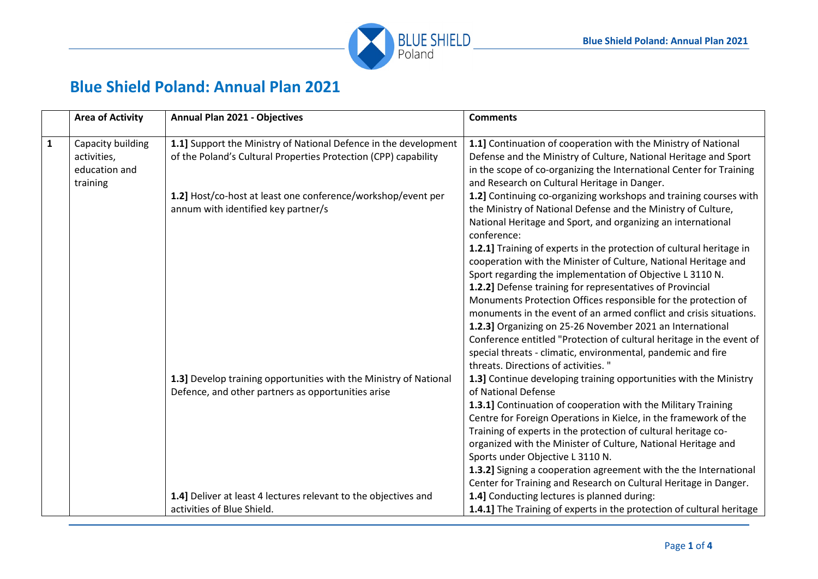

## **Blue Shield Poland: Annual Plan 2021**

| $\mathbf{1}$<br>1.1] Support the Ministry of National Defence in the development<br>Capacity building<br>of the Poland's Cultural Properties Protection (CPP) capability<br>activities,<br>education and<br>and Research on Cultural Heritage in Danger.<br>training<br>1.2] Host/co-host at least one conference/workshop/event per<br>the Ministry of National Defense and the Ministry of Culture,<br>annum with identified key partner/s<br>National Heritage and Sport, and organizing an international<br>conference:<br>Sport regarding the implementation of Objective L 3110 N.<br>1.2.2] Defense training for representatives of Provincial<br>1.2.3] Organizing on 25-26 November 2021 an International<br>special threats - climatic, environmental, pandemic and fire<br>threats. Directions of activities. " | <b>Area of Activity</b> | <b>Annual Plan 2021 - Objectives</b> | <b>Comments</b>                                                                                                                                                                                                                                                                                                                                                                                                              |
|----------------------------------------------------------------------------------------------------------------------------------------------------------------------------------------------------------------------------------------------------------------------------------------------------------------------------------------------------------------------------------------------------------------------------------------------------------------------------------------------------------------------------------------------------------------------------------------------------------------------------------------------------------------------------------------------------------------------------------------------------------------------------------------------------------------------------|-------------------------|--------------------------------------|------------------------------------------------------------------------------------------------------------------------------------------------------------------------------------------------------------------------------------------------------------------------------------------------------------------------------------------------------------------------------------------------------------------------------|
|                                                                                                                                                                                                                                                                                                                                                                                                                                                                                                                                                                                                                                                                                                                                                                                                                            |                         |                                      | 1.1] Continuation of cooperation with the Ministry of National<br>Defense and the Ministry of Culture, National Heritage and Sport<br>in the scope of co-organizing the International Center for Training                                                                                                                                                                                                                    |
|                                                                                                                                                                                                                                                                                                                                                                                                                                                                                                                                                                                                                                                                                                                                                                                                                            |                         |                                      | 1.2] Continuing co-organizing workshops and training courses with<br>1.2.1] Training of experts in the protection of cultural heritage in<br>cooperation with the Minister of Culture, National Heritage and<br>Monuments Protection Offices responsible for the protection of<br>monuments in the event of an armed conflict and crisis situations.<br>Conference entitled "Protection of cultural heritage in the event of |
| 1.3] Develop training opportunities with the Ministry of National<br>Defence, and other partners as opportunities arise<br>of National Defense<br>1.3.1] Continuation of cooperation with the Military Training<br>Training of experts in the protection of cultural heritage co-<br>organized with the Minister of Culture, National Heritage and<br>Sports under Objective L 3110 N.                                                                                                                                                                                                                                                                                                                                                                                                                                     |                         |                                      | 1.3] Continue developing training opportunities with the Ministry<br>Centre for Foreign Operations in Kielce, in the framework of the<br>1.3.2] Signing a cooperation agreement with the the International<br>Center for Training and Research on Cultural Heritage in Danger.                                                                                                                                               |
| 1.4] Deliver at least 4 lectures relevant to the objectives and<br>1.4] Conducting lectures is planned during:<br>activities of Blue Shield.                                                                                                                                                                                                                                                                                                                                                                                                                                                                                                                                                                                                                                                                               |                         |                                      | 1.4.1] The Training of experts in the protection of cultural heritage                                                                                                                                                                                                                                                                                                                                                        |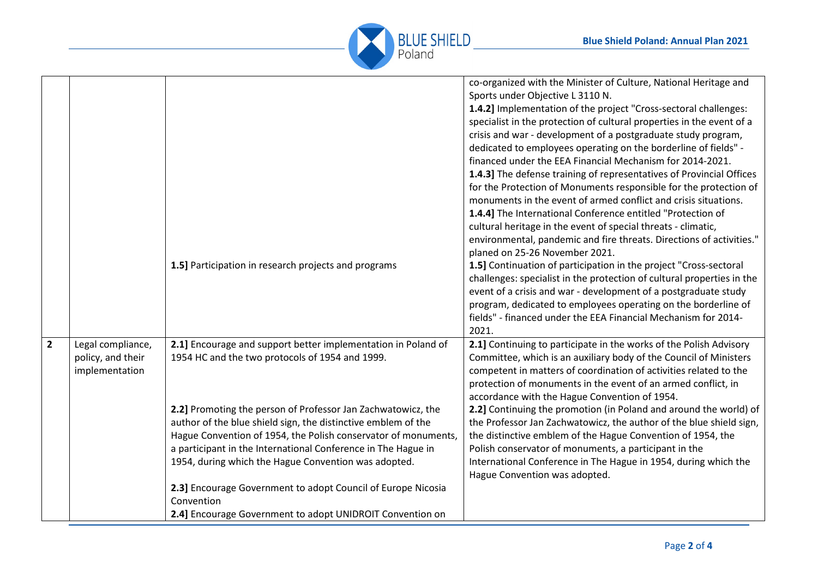

|                |                                                          | 1.5] Participation in research projects and programs                                                                                                                                                                                                                                                                     | co-organized with the Minister of Culture, National Heritage and<br>Sports under Objective L 3110 N.<br>1.4.2] Implementation of the project "Cross-sectoral challenges:<br>specialist in the protection of cultural properties in the event of a<br>crisis and war - development of a postgraduate study program,<br>dedicated to employees operating on the borderline of fields" -<br>financed under the EEA Financial Mechanism for 2014-2021.<br>1.4.3] The defense training of representatives of Provincial Offices<br>for the Protection of Monuments responsible for the protection of<br>monuments in the event of armed conflict and crisis situations.<br>1.4.4] The International Conference entitled "Protection of<br>cultural heritage in the event of special threats - climatic,<br>environmental, pandemic and fire threats. Directions of activities."<br>planed on 25-26 November 2021.<br>1.5] Continuation of participation in the project "Cross-sectoral<br>challenges: specialist in the protection of cultural properties in the<br>event of a crisis and war - development of a postgraduate study<br>program, dedicated to employees operating on the borderline of<br>fields" - financed under the EEA Financial Mechanism for 2014-<br>2021. |
|----------------|----------------------------------------------------------|--------------------------------------------------------------------------------------------------------------------------------------------------------------------------------------------------------------------------------------------------------------------------------------------------------------------------|-----------------------------------------------------------------------------------------------------------------------------------------------------------------------------------------------------------------------------------------------------------------------------------------------------------------------------------------------------------------------------------------------------------------------------------------------------------------------------------------------------------------------------------------------------------------------------------------------------------------------------------------------------------------------------------------------------------------------------------------------------------------------------------------------------------------------------------------------------------------------------------------------------------------------------------------------------------------------------------------------------------------------------------------------------------------------------------------------------------------------------------------------------------------------------------------------------------------------------------------------------------------------------|
| $\overline{2}$ | Legal compliance,<br>policy, and their<br>implementation | 2.1] Encourage and support better implementation in Poland of<br>1954 HC and the two protocols of 1954 and 1999.                                                                                                                                                                                                         | 2.1] Continuing to participate in the works of the Polish Advisory<br>Committee, which is an auxiliary body of the Council of Ministers<br>competent in matters of coordination of activities related to the<br>protection of monuments in the event of an armed conflict, in<br>accordance with the Hague Convention of 1954.                                                                                                                                                                                                                                                                                                                                                                                                                                                                                                                                                                                                                                                                                                                                                                                                                                                                                                                                              |
|                |                                                          | 2.2] Promoting the person of Professor Jan Zachwatowicz, the<br>author of the blue shield sign, the distinctive emblem of the<br>Hague Convention of 1954, the Polish conservator of monuments,<br>a participant in the International Conference in The Hague in<br>1954, during which the Hague Convention was adopted. | 2.2] Continuing the promotion (in Poland and around the world) of<br>the Professor Jan Zachwatowicz, the author of the blue shield sign,<br>the distinctive emblem of the Hague Convention of 1954, the<br>Polish conservator of monuments, a participant in the<br>International Conference in The Hague in 1954, during which the<br>Hague Convention was adopted.                                                                                                                                                                                                                                                                                                                                                                                                                                                                                                                                                                                                                                                                                                                                                                                                                                                                                                        |
|                |                                                          | 2.3] Encourage Government to adopt Council of Europe Nicosia<br>Convention<br>2.4] Encourage Government to adopt UNIDROIT Convention on                                                                                                                                                                                  |                                                                                                                                                                                                                                                                                                                                                                                                                                                                                                                                                                                                                                                                                                                                                                                                                                                                                                                                                                                                                                                                                                                                                                                                                                                                             |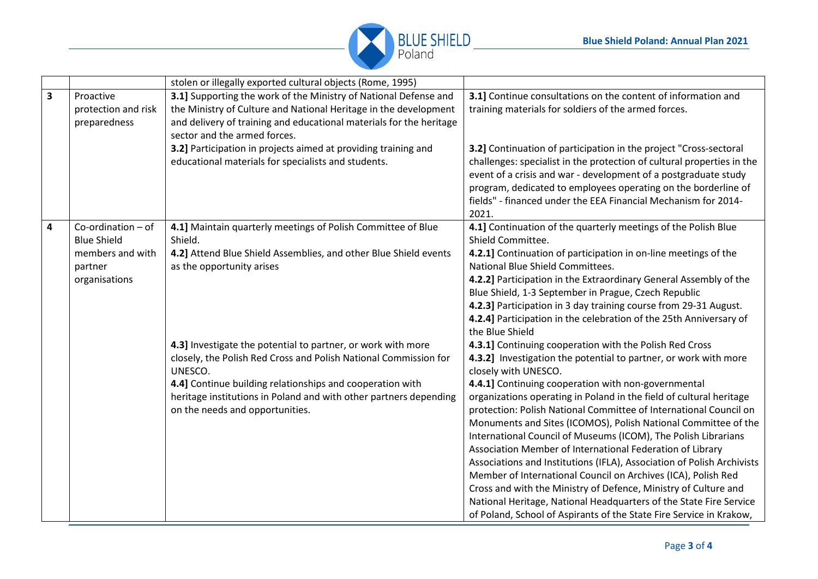

|                         |                                                                                          | stolen or illegally exported cultural objects (Rome, 1995)                                                                                                                                                                                                                                                       |                                                                                                                                                                                                                                                                                                                                                                                                                                                                                                                                                                                                                                                                                                                                                                                                                                                                                                                                       |
|-------------------------|------------------------------------------------------------------------------------------|------------------------------------------------------------------------------------------------------------------------------------------------------------------------------------------------------------------------------------------------------------------------------------------------------------------|---------------------------------------------------------------------------------------------------------------------------------------------------------------------------------------------------------------------------------------------------------------------------------------------------------------------------------------------------------------------------------------------------------------------------------------------------------------------------------------------------------------------------------------------------------------------------------------------------------------------------------------------------------------------------------------------------------------------------------------------------------------------------------------------------------------------------------------------------------------------------------------------------------------------------------------|
| $\overline{\mathbf{3}}$ | Proactive<br>protection and risk<br>preparedness                                         | 3.1] Supporting the work of the Ministry of National Defense and<br>the Ministry of Culture and National Heritage in the development<br>and delivery of training and educational materials for the heritage<br>sector and the armed forces.                                                                      | 3.1] Continue consultations on the content of information and<br>training materials for soldiers of the armed forces.                                                                                                                                                                                                                                                                                                                                                                                                                                                                                                                                                                                                                                                                                                                                                                                                                 |
|                         |                                                                                          | 3.2] Participation in projects aimed at providing training and<br>educational materials for specialists and students.                                                                                                                                                                                            | 3.2] Continuation of participation in the project "Cross-sectoral<br>challenges: specialist in the protection of cultural properties in the<br>event of a crisis and war - development of a postgraduate study<br>program, dedicated to employees operating on the borderline of<br>fields" - financed under the EEA Financial Mechanism for 2014-<br>2021.                                                                                                                                                                                                                                                                                                                                                                                                                                                                                                                                                                           |
| 4                       | Co-ordination - of<br><b>Blue Shield</b><br>members and with<br>partner<br>organisations | 4.1] Maintain quarterly meetings of Polish Committee of Blue<br>Shield.<br>4.2] Attend Blue Shield Assemblies, and other Blue Shield events<br>as the opportunity arises                                                                                                                                         | 4.1] Continuation of the quarterly meetings of the Polish Blue<br>Shield Committee.<br>4.2.1] Continuation of participation in on-line meetings of the<br>National Blue Shield Committees.<br>4.2.2] Participation in the Extraordinary General Assembly of the<br>Blue Shield, 1-3 September in Prague, Czech Republic<br>4.2.3] Participation in 3 day training course from 29-31 August.<br>4.2.4] Participation in the celebration of the 25th Anniversary of                                                                                                                                                                                                                                                                                                                                                                                                                                                                     |
|                         |                                                                                          | 4.3] Investigate the potential to partner, or work with more<br>closely, the Polish Red Cross and Polish National Commission for<br>UNESCO.<br>4.4] Continue building relationships and cooperation with<br>heritage institutions in Poland and with other partners depending<br>on the needs and opportunities. | the Blue Shield<br>4.3.1] Continuing cooperation with the Polish Red Cross<br>4.3.2] Investigation the potential to partner, or work with more<br>closely with UNESCO.<br>4.4.1] Continuing cooperation with non-governmental<br>organizations operating in Poland in the field of cultural heritage<br>protection: Polish National Committee of International Council on<br>Monuments and Sites (ICOMOS), Polish National Committee of the<br>International Council of Museums (ICOM), The Polish Librarians<br>Association Member of International Federation of Library<br>Associations and Institutions (IFLA), Association of Polish Archivists<br>Member of International Council on Archives (ICA), Polish Red<br>Cross and with the Ministry of Defence, Ministry of Culture and<br>National Heritage, National Headquarters of the State Fire Service<br>of Poland, School of Aspirants of the State Fire Service in Krakow, |